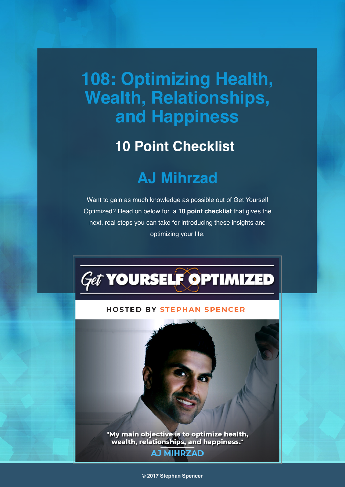# **108: Optimizing Health, Wealth, Relationships, and Happiness**

## **10 Point Checklist**

## **AJ Mihrzad**

Want to gain as much knowledge as possible out of Get Yourself Optimized? Read on below for a **10 point checklist** that gives the next, real steps you can take for introducing these insights and optimizing your life.



#### **HOSTED BY STEPHAN SPENCER**

"My main objective is to optimize health,<br>wealth, relationships, and happiness."

### **AJ MIHRZAD**